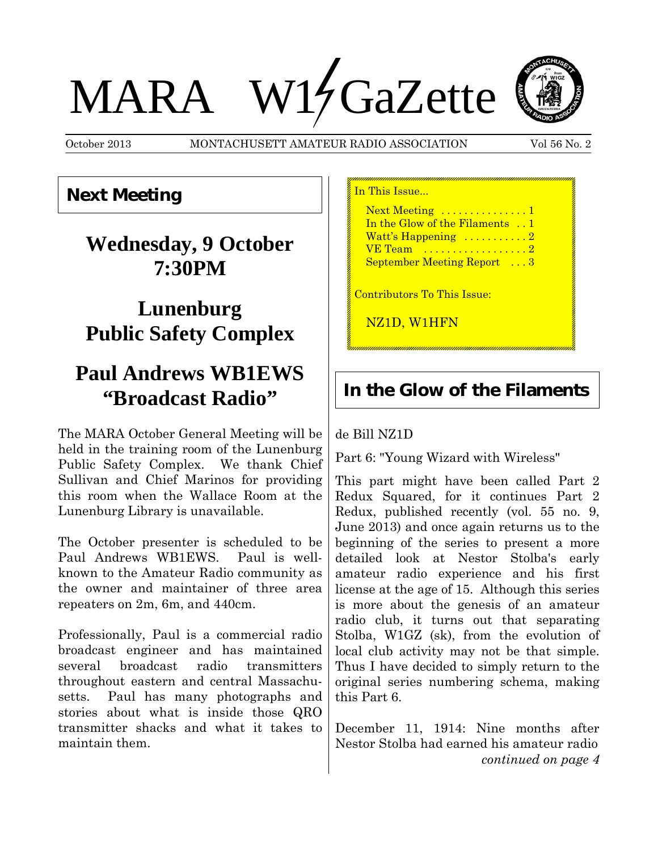# MARA W14 GaZette



October 2013 MONTACHUSETT AMATEUR RADIO ASSOCIATION Vol 56 No. 2

#### **Next Meeting**

# **Wednesday, 9 October 7:30PM**

# **Lunenburg Public Safety Complex**

# **Paul Andrews WB1EWS "Broadcast Radio"**

The MARA October General Meeting will be held in the training room of the Lunenburg Public Safety Complex. We thank Chief Sullivan and Chief Marinos for providing this room when the Wallace Room at the Lunenburg Library is unavailable.

The October presenter is scheduled to be Paul Andrews WB1EWS. Paul is wellknown to the Amateur Radio community as the owner and maintainer of three area repeaters on 2m, 6m, and 440cm.

Professionally, Paul is a commercial radio broadcast engineer and has maintained several broadcast radio transmitters throughout eastern and central Massachusetts. Paul has many photographs and stories about what is inside those QRO transmitter shacks and what it takes to maintain them.

In This Issue...

Next Meeting ..............1 In the Glow of the Filaments . . 1 Watt's Happening ..........2 VE Team ...................2 September Meeting Report ...3

Contributors To This Issue:

NZ1D, W1HFN

#### **In the Glow of the Filaments**

#### de Bill NZ1D

Part 6: "Young Wizard with Wireless"

This part might have been called Part 2 Redux Squared, for it continues Part 2 Redux, published recently (vol. 55 no. 9, June 2013) and once again returns us to the beginning of the series to present a more detailed look at Nestor Stolba's early amateur radio experience and his first license at the age of 15. Although this series is more about the genesis of an amateur radio club, it turns out that separating Stolba, W1GZ (sk), from the evolution of local club activity may not be that simple. Thus I have decided to simply return to the original series numbering schema, making this Part 6.

December 11, 1914: Nine months after Nestor Stolba had earned his amateur radio *continued on page 4*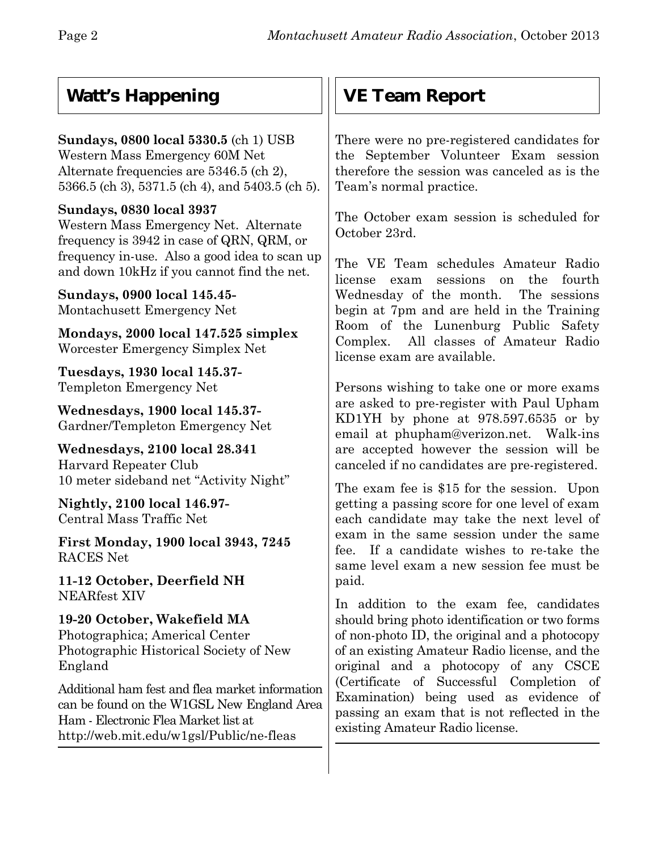## **Watt's Happening**

**Sundays, 0800 local 5330.5** (ch 1) USB Western Mass Emergency 60M Net Alternate frequencies are 5346.5 (ch 2), 5366.5 (ch 3), 5371.5 (ch 4), and 5403.5 (ch 5).

#### **Sundays, 0830 local 3937**

Western Mass Emergency Net. Alternate frequency is 3942 in case of QRN, QRM, or frequency in-use. Also a good idea to scan up and down 10kHz if you cannot find the net.

**Sundays, 0900 local 145.45-** Montachusett Emergency Net

**Mondays, 2000 local 147.525 simplex** Worcester Emergency Simplex Net

**Tuesdays, 1930 local 145.37-** Templeton Emergency Net

**Wednesdays, 1900 local 145.37-** Gardner/Templeton Emergency Net

**Wednesdays, 2100 local 28.341** Harvard Repeater Club 10 meter sideband net "Activity Night"

**Nightly, 2100 local 146.97-** Central Mass Traffic Net

**First Monday, 1900 local 3943, 7245** RACES Net

**11-12 October, Deerfield NH** NEARfest XIV

**19-20 October, Wakefield MA** Photographica; Americal Center Photographic Historical Society of New England

Additional ham fest and flea market information can be found on the W1GSL New England Area Ham - Electronic Flea Market list at http://web.mit.edu/w1gsl/Public/ne-fleas

## **VE Team Report**

There were no pre-registered candidates for the September Volunteer Exam session therefore the session was canceled as is the Team's normal practice.

The October exam session is scheduled for October 23rd.

The VE Team schedules Amateur Radio license exam sessions on the fourth Wednesday of the month. The sessions begin at 7pm and are held in the Training Room of the Lunenburg Public Safety Complex. All classes of Amateur Radio license exam are available.

Persons wishing to take one or more exams are asked to pre-register with Paul Upham KD1YH by phone at 978.597.6535 or by email at phupham@verizon.net. Walk-ins are accepted however the session will be canceled if no candidates are pre-registered.

The exam fee is \$15 for the session. Upon getting a passing score for one level of exam each candidate may take the next level of exam in the same session under the same fee. If a candidate wishes to re-take the same level exam a new session fee must be paid.

In addition to the exam fee, candidates should bring photo identification or two forms of non-photo ID, the original and a photocopy of an existing Amateur Radio license, and the original and a photocopy of any CSCE (Certificate of Successful Completion of Examination) being used as evidence of passing an exam that is not reflected in the existing Amateur Radio license.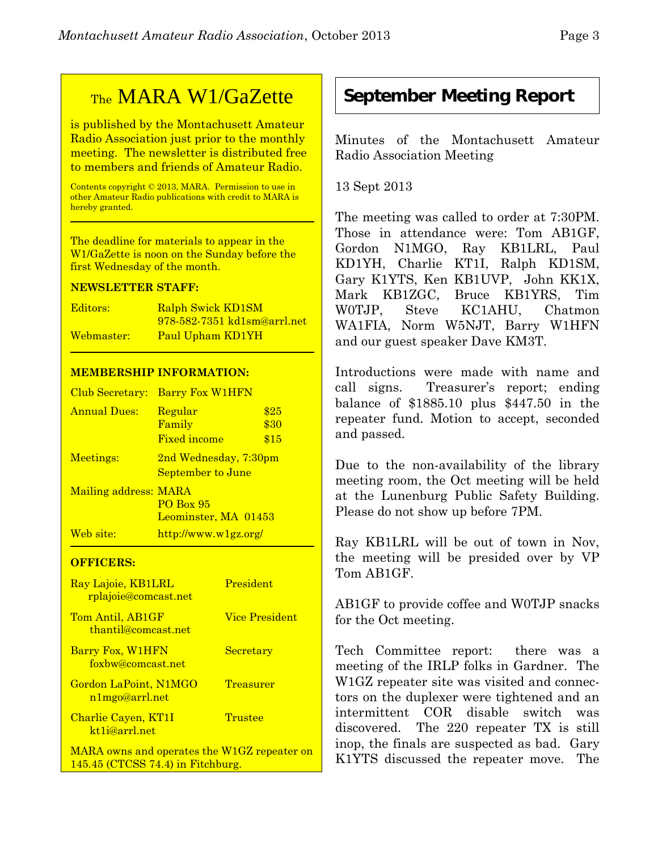## TheMARA W1/GaZette

is published by the Montachusett Amateur Radio Association just prior to the monthly meeting. The newsletter is distributed free to members and friends of Amateur Radio.

Contents copyright © 2013, MARA. Permission to use in other Amateur Radio publications with credit to MARA is hereby granted.

The deadline for materials to appear in the W1/GaZette is noon on the Sunday before the first Wednesday of the month.

#### **NEWSLETTER STAFF:**

| Editors:   | Ralph Swick KD1SM           |
|------------|-----------------------------|
|            | 978-582-7351 kd1sm@arrl.net |
| Webmaster: | Paul Upham KD1YH            |

#### **MEMBERSHIP INFORMATION:**

| Club Secretary:       | <b>Barry Fox W1HFN</b>                              |                      |
|-----------------------|-----------------------------------------------------|----------------------|
| <b>Annual Dues:</b>   | Regular<br>Family<br><b>Fixed income</b>            | \$25<br>\$30<br>\$15 |
| Meetings:             | 2nd Wednesday, 7:30pm<br>September to June          |                      |
| Mailing address: MARA | <b>PO Box 95</b><br>Leominster, MA 01453            |                      |
| Web site:             | $\frac{http://www.w1gz.org/}{http://www.w1gz.org/}$ |                      |

#### **OFFICERS:**

| Ray Lajoie, KB1LRL<br><u>rplajoie@comcast.net</u>                                  | President             |
|------------------------------------------------------------------------------------|-----------------------|
| Tom Antil, AB1GF<br>thantil@comcast.net                                            | <b>Vice President</b> |
| Barry Fox, W1HFN<br>foxbw@comcast.net                                              | Secretary             |
| Gordon LaPoint, N1MGO<br>n1mgo@arrl.net                                            | Treasurer             |
| Charlie Cayen, KT1I<br>kt <sub>1</sub> i@arrl.net                                  | Trustee               |
| MARA owns and operates the W1GZ repeater on<br>$145.45$ (CTCSS 74.4) in Fitchburg. |                       |

#### **September Meeting Report**

Minutes of the Montachusett Amateur Radio Association Meeting

13 Sept 2013

The meeting was called to order at 7:30PM. Those in attendance were: Tom AB1GF, Gordon N1MGO, Ray KB1LRL, Paul KD1YH, Charlie KT1I, Ralph KD1SM, Gary K1YTS, Ken KB1UVP, John KK1X, Mark KB1ZGC, Bruce KB1YRS, Tim W0TJP, Steve KC1AHU, Chatmon WA1FIA, Norm W5NJT, Barry W1HFN and our guest speaker Dave KM3T.

Introductions were made with name and call signs. Treasurer's report; ending balance of \$1885.10 plus \$447.50 in the repeater fund. Motion to accept, seconded and passed.

Due to the non-availability of the library meeting room, the Oct meeting will be held at the Lunenburg Public Safety Building. Please do not show up before 7PM.

Ray KB1LRL will be out of town in Nov, the meeting will be presided over by VP Tom AB1GF.

AB1GF to provide coffee and W0TJP snacks for the Oct meeting.

Tech Committee report: there was a meeting of the IRLP folks in Gardner. The W1GZ repeater site was visited and connectors on the duplexer were tightened and an intermittent COR disable switch was discovered. The 220 repeater TX is still inop, the finals are suspected as bad. Gary K1YTS discussed the repeater move. The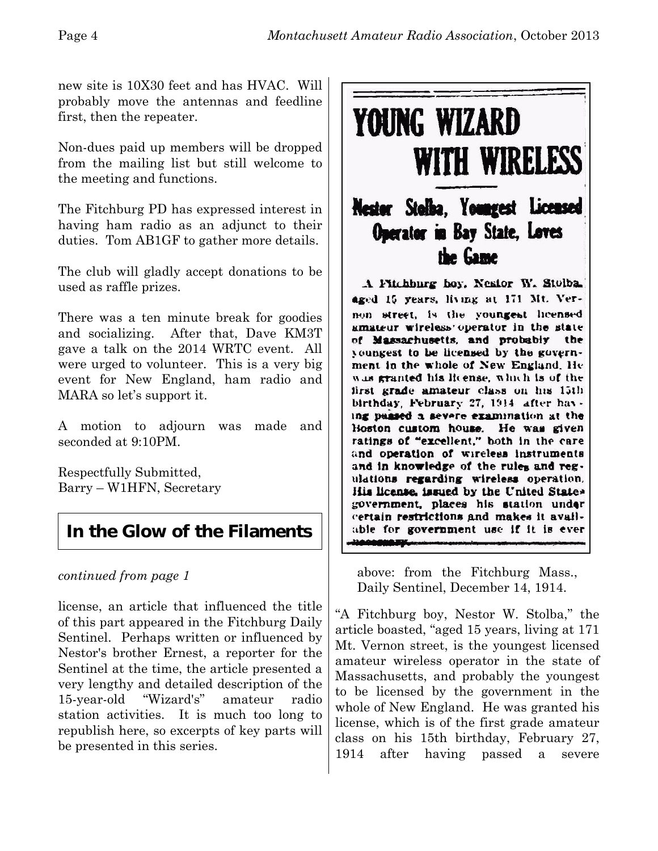new site is 10X30 feet and has HVAC. Will probably move the antennas and feedline first, then the repeater.

Non-dues paid up members will be dropped from the mailing list but still welcome to the meeting and functions.

The Fitchburg PD has expressed interest in having ham radio as an adjunct to their duties. Tom AB1GF to gather more details.

The club will gladly accept donations to be used as raffle prizes.

There was a ten minute break for goodies and socializing. After that, Dave KM3T gave a talk on the 2014 WRTC event. All were urged to volunteer. This is a very big event for New England, ham radio and MARA so let's support it.

A motion to adjourn was made and seconded at 9:10PM.

Respectfully Submitted, Barry – W1HFN, Secretary

## **In the Glow of the Filaments**

#### *continued from page 1*

license, an article that influenced the title of this part appeared in the Fitchburg Daily Sentinel. Perhaps written or influenced by Nestor's brother Ernest, a reporter for the Sentinel at the time, the article presented a very lengthy and detailed description of the 15-year-old "Wizard's" amateur radio station activities. It is much too long to republish here, so excerpts of key parts will be presented in this series.



above: from the Fitchburg Mass., Daily Sentinel, December 14, 1914.

able for government use if it is ever

يتحفنهمهمن

"A Fitchburg boy, Nestor W. Stolba," the article boasted, "aged 15 years, living at 171 Mt. Vernon street, is the youngest licensed amateur wireless operator in the state of Massachusetts, and probably the youngest to be licensed by the government in the whole of New England. He was granted his license, which is of the first grade amateur class on his 15th birthday, February 27, 1914 after having passed a severe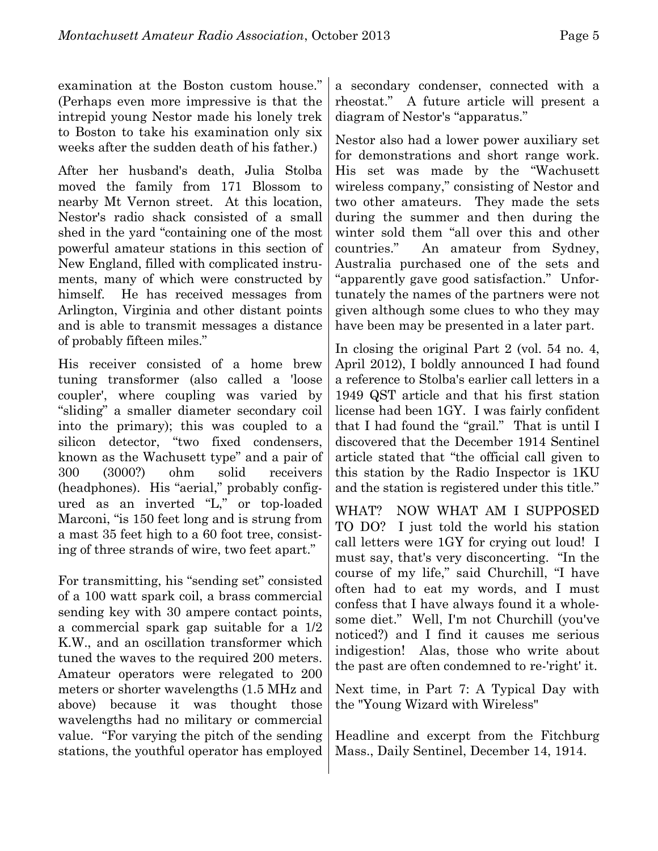examination at the Boston custom house." (Perhaps even more impressive is that the intrepid young Nestor made his lonely trek to Boston to take his examination only six weeks after the sudden death of his father.)

After her husband's death, Julia Stolba moved the family from 171 Blossom to nearby Mt Vernon street. At this location, Nestor's radio shack consisted of a small shed in the yard "containing one of the most powerful amateur stations in this section of New England, filled with complicated instruments, many of which were constructed by himself. He has received messages from Arlington, Virginia and other distant points and is able to transmit messages a distance of probably fifteen miles."

His receiver consisted of a home brew tuning transformer (also called a 'loose coupler', where coupling was varied by "sliding" a smaller diameter secondary coil into the primary); this was coupled to a silicon detector, "two fixed condensers, known as the Wachusett type" and a pair of 300 (3000?) ohm solid receivers (headphones). His "aerial," probably configured as an inverted "L," or top-loaded Marconi, "is 150 feet long and is strung from a mast 35 feet high to a 60 foot tree, consisting of three strands of wire, two feet apart."

For transmitting, his "sending set" consisted of a 100 watt spark coil, a brass commercial sending key with 30 ampere contact points, a commercial spark gap suitable for a 1/2 K.W., and an oscillation transformer which tuned the waves to the required 200 meters. Amateur operators were relegated to 200 meters or shorter wavelengths (1.5 MHz and above) because it was thought those wavelengths had no military or commercial value. "For varying the pitch of the sending stations, the youthful operator has employed

a secondary condenser, connected with a rheostat." A future article will present a diagram of Nestor's "apparatus."

Nestor also had a lower power auxiliary set for demonstrations and short range work. His set was made by the "Wachusett wireless company," consisting of Nestor and two other amateurs. They made the sets during the summer and then during the winter sold them "all over this and other countries." An amateur from Sydney, Australia purchased one of the sets and "apparently gave good satisfaction." Unfortunately the names of the partners were not given although some clues to who they may have been may be presented in a later part.

In closing the original Part 2 (vol. 54 no. 4, April 2012), I boldly announced I had found a reference to Stolba's earlier call letters in a 1949 QST article and that his first station license had been 1GY. I was fairly confident that I had found the "grail." That is until I discovered that the December 1914 Sentinel article stated that "the official call given to this station by the Radio Inspector is 1KU and the station is registered under this title."

WHAT? NOW WHAT AM I SUPPOSED TO DO? I just told the world his station call letters were 1GY for crying out loud! I must say, that's very disconcerting. "In the course of my life," said Churchill, "I have often had to eat my words, and I must confess that I have always found it a wholesome diet." Well, I'm not Churchill (you've noticed?) and I find it causes me serious indigestion! Alas, those who write about the past are often condemned to re-'right' it.

Next time, in Part 7: A Typical Day with the "Young Wizard with Wireless"

Headline and excerpt from the Fitchburg Mass., Daily Sentinel, December 14, 1914.